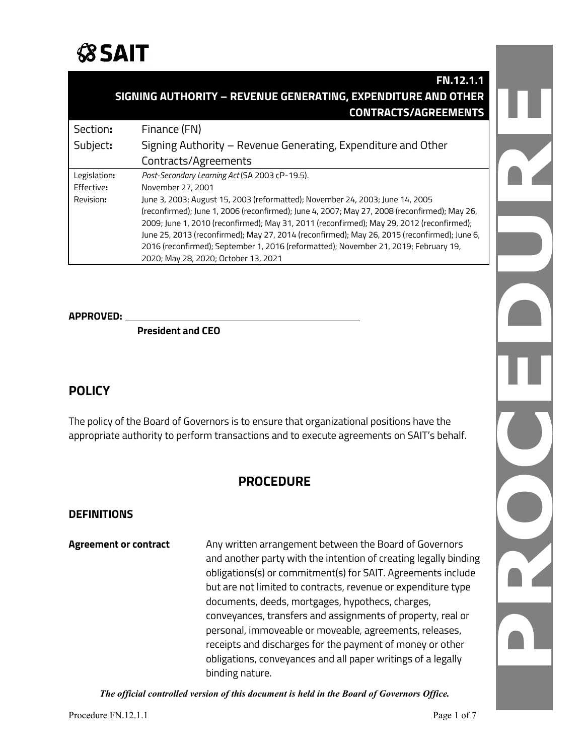

|                                                               | <b>FN.12.1.1</b>                                              |  |
|---------------------------------------------------------------|---------------------------------------------------------------|--|
| SIGNING AUTHORITY - REVENUE GENERATING, EXPENDITURE AND OTHER |                                                               |  |
|                                                               | <b>CONTRACTS/AGREEMENTS</b>                                   |  |
| Section:                                                      | Finance (FN)                                                  |  |
| Subject:                                                      | Signing Authority – Revenue Generating, Expenditure and Other |  |
|                                                               | Contracts/Agreements                                          |  |

| Effective: | November 27, 2001                                                                            |
|------------|----------------------------------------------------------------------------------------------|
| Revision:  | June 3, 2003; August 15, 2003 (reformatted); November 24, 2003; June 14, 2005                |
|            | (reconfirmed); June 1, 2006 (reconfirmed); June 4, 2007; May 27, 2008 (reconfirmed); May 26, |
|            | 2009; June 1, 2010 (reconfirmed); May 31, 2011 (reconfirmed); May 29, 2012 (reconfirmed);    |
|            | June 25, 2013 (reconfirmed); May 27, 2014 (reconfirmed); May 26, 2015 (reconfirmed); June 6, |
|            | 2016 (reconfirmed); September 1, 2016 (reformatted); November 21, 2019; February 19,         |
|            | 2020; May 28, 2020; October 13, 2021                                                         |
|            |                                                                                              |

**APPROVED:**

**President and CEO**

Legislation**:** *Post-Secondary Learning Act* (SA 2003 cP-19.5).

# **POLICY**

The policy of the Board of Governors is to ensure that organizational positions have the appropriate authority to perform transactions and to execute agreements on SAIT's behalf.

# **PROCEDURE**

#### **DEFINITIONS**

**Agreement or contract** Any written arrangement between the Board of Governors and another party with the intention of creating legally binding obligations(s) or commitment(s) for SAIT. Agreements include but are not limited to contracts, revenue or expenditure type documents, deeds, mortgages, hypothecs, charges, conveyances, transfers and assignments of property, real or personal, immoveable or moveable, agreements, releases, receipts and discharges for the payment of money or other obligations, conveyances and all paper writings of a legally binding nature.

*The official controlled version of this document is held in the Board of Governors Office.*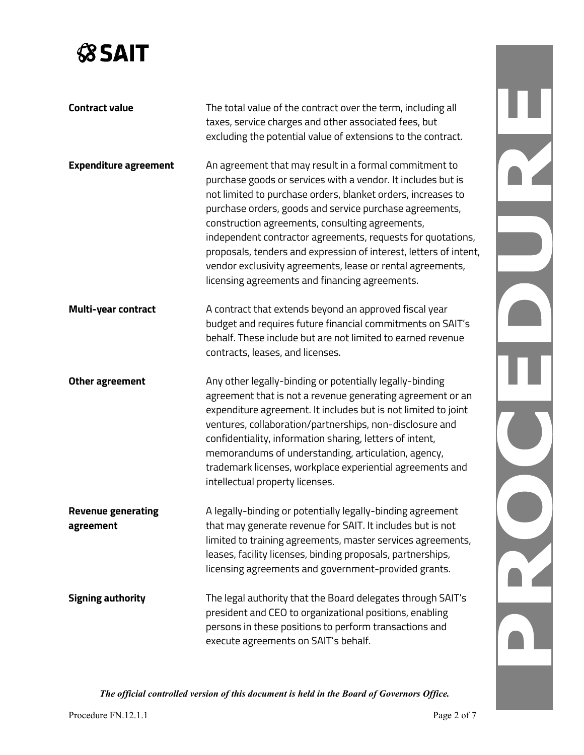# **SSAIT**

| <b>Contract value</b>                  | The total value of the contract over the term, including all<br>taxes, service charges and other associated fees, but<br>excluding the potential value of extensions to the contract.                                                                                                                                                                                                                                                                                                                                                                    |  |
|----------------------------------------|----------------------------------------------------------------------------------------------------------------------------------------------------------------------------------------------------------------------------------------------------------------------------------------------------------------------------------------------------------------------------------------------------------------------------------------------------------------------------------------------------------------------------------------------------------|--|
| <b>Expenditure agreement</b>           | An agreement that may result in a formal commitment to<br>purchase goods or services with a vendor. It includes but is<br>not limited to purchase orders, blanket orders, increases to<br>purchase orders, goods and service purchase agreements,<br>construction agreements, consulting agreements,<br>independent contractor agreements, requests for quotations,<br>proposals, tenders and expression of interest, letters of intent,<br>vendor exclusivity agreements, lease or rental agreements,<br>licensing agreements and financing agreements. |  |
| <b>Multi-year contract</b>             | A contract that extends beyond an approved fiscal year<br>budget and requires future financial commitments on SAIT's<br>behalf. These include but are not limited to earned revenue<br>contracts, leases, and licenses.                                                                                                                                                                                                                                                                                                                                  |  |
| Other agreement                        | Any other legally-binding or potentially legally-binding<br>agreement that is not a revenue generating agreement or an<br>expenditure agreement. It includes but is not limited to joint<br>ventures, collaboration/partnerships, non-disclosure and<br>confidentiality, information sharing, letters of intent,<br>memorandums of understanding, articulation, agency,<br>trademark licenses, workplace experiential agreements and<br>intellectual property licenses.                                                                                  |  |
| <b>Revenue generating</b><br>agreement | A legally-binding or potentially legally-binding agreement<br>that may generate revenue for SAIT. It includes but is not<br>limited to training agreements, master services agreements,<br>leases, facility licenses, binding proposals, partnerships,<br>licensing agreements and government-provided grants.                                                                                                                                                                                                                                           |  |
| <b>Signing authority</b>               | The legal authority that the Board delegates through SAIT's<br>president and CEO to organizational positions, enabling<br>persons in these positions to perform transactions and<br>execute agreements on SAIT's behalf.                                                                                                                                                                                                                                                                                                                                 |  |

*The official controlled version of this document is held in the Board of Governors Office.*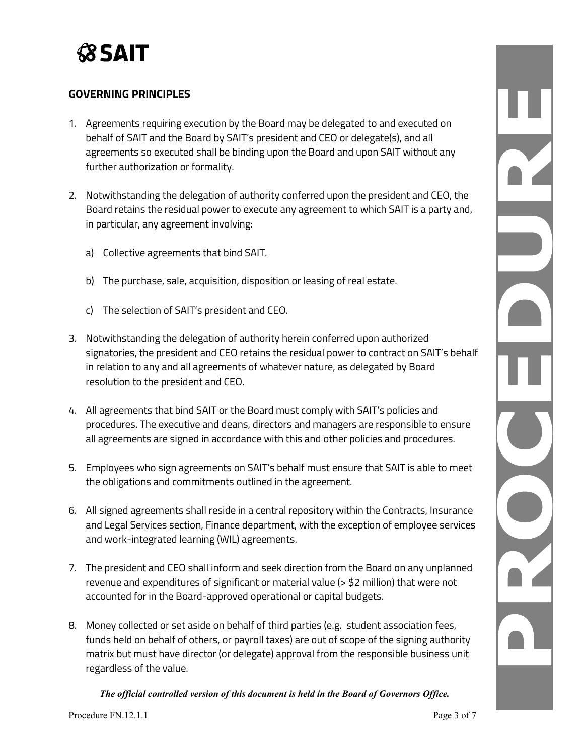

## **GOVERNING PRINCIPLES**

- 1. Agreements requiring execution by the Board may be delegated to and executed on behalf of SAIT and the Board by SAIT's president and CEO or delegate(s), and all agreements so executed shall be binding upon the Board and upon SAIT without any further authorization or formality.
- 2. Notwithstanding the delegation of authority conferred upon the president and CEO, the Board retains the residual power to execute any agreement to which SAIT is a party and, in particular, any agreement involving:
	- a) Collective agreements that bind SAIT.
	- b) The purchase, sale, acquisition, disposition or leasing of real estate.
	- c) The selection of SAIT's president and CEO.
- 3. Notwithstanding the delegation of authority herein conferred upon authorized signatories, the president and CEO retains the residual power to contract on SAIT's behalf in relation to any and all agreements of whatever nature, as delegated by Board resolution to the president and CEO.
- 4. All agreements that bind SAIT or the Board must comply with SAIT's policies and procedures. The executive and deans, directors and managers are responsible to ensure all agreements are signed in accordance with this and other policies and procedures.
- 5. Employees who sign agreements on SAIT's behalf must ensure that SAIT is able to meet the obligations and commitments outlined in the agreement.
- 6. All signed agreements shall reside in a central repository within the Contracts, Insurance and Legal Services section, Finance department, with the exception of employee services and work-integrated learning (WIL) agreements.
- 7. The president and CEO shall inform and seek direction from the Board on any unplanned revenue and expenditures of significant or material value (> \$2 million) that were not accounted for in the Board-approved operational or capital budgets.
- 8. Money collected or set aside on behalf of third parties (e.g. student association fees, funds held on behalf of others, or payroll taxes) are out of scope of the signing authority matrix but must have director (or delegate) approval from the responsible business unit regardless of the value.

*The official controlled version of this document is held in the Board of Governors Office.*

 $\overline{\mathbf{r}}$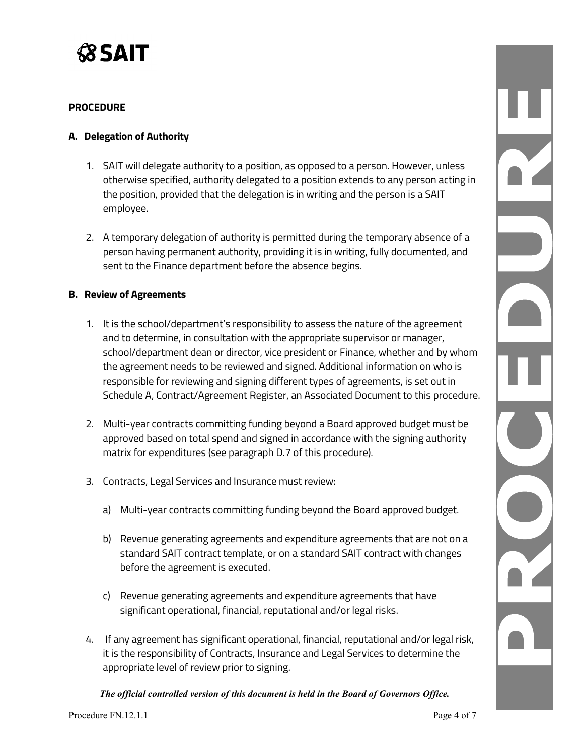

#### **PROCEDURE**

#### **A. Delegation of Authority**

- 1. SAIT will delegate authority to a position, as opposed to a person. However, unless otherwise specified, authority delegated to a position extends to any person acting in the position, provided that the delegation is in writing and the person is a SAIT employee.
- 2. A temporary delegation of authority is permitted during the temporary absence of a person having permanent authority, providing it is in writing, fully documented, and sent to the Finance department before the absence begins.

#### **B. Review of Agreements**

- 1. It is the school/department's responsibility to assess the nature of the agreement and to determine, in consultation with the appropriate supervisor or manager, school/department dean or director, vice president or Finance, whether and by whom the agreement needs to be reviewed and signed. Additional information on who is responsible for reviewing and signing different types of agreements, is set out in Schedule A, Contract/Agreement Register, an Associated Document to this procedure.
- 2. Multi-year contracts committing funding beyond a Board approved budget must be approved based on total spend and signed in accordance with the signing authority matrix for expenditures (see paragraph D.7 of this procedure).
- 3. Contracts, Legal Services and Insurance must review:
	- a) Multi-year contracts committing funding beyond the Board approved budget.
	- b) Revenue generating agreements and expenditure agreements that are not on a standard SAIT contract template, or on a standard SAIT contract with changes before the agreement is executed.
	- c) Revenue generating agreements and expenditure agreements that have significant operational, financial, reputational and/or legal risks.
- 4. If any agreement has significant operational, financial, reputational and/or legal risk, it is the responsibility of Contracts, Insurance and Legal Services to determine the appropriate level of review prior to signing.

*The official controlled version of this document is held in the Board of Governors Office.*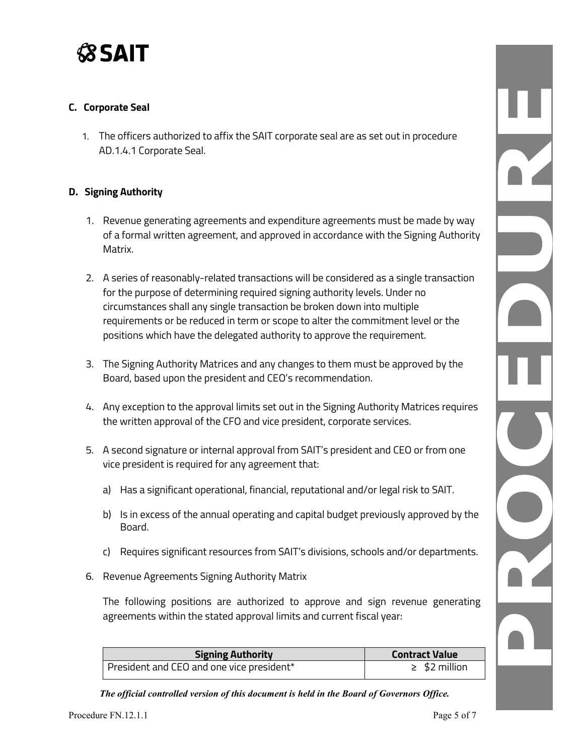

## **C. Corporate Seal**

1. The officers authorized to affix the SAIT corporate seal are as set out in procedure AD.1.4.1 Corporate Seal.

#### **D. Signing Authority**

- 1. Revenue generating agreements and expenditure agreements must be made by way of a formal written agreement, and approved in accordance with the Signing Authority Matrix.
- 2. A series of reasonably-related transactions will be considered as a single transaction for the purpose of determining required signing authority levels. Under no circumstances shall any single transaction be broken down into multiple requirements or be reduced in term or scope to alter the commitment level or the positions which have the delegated authority to approve the requirement.
- 3. The Signing Authority Matrices and any changes to them must be approved by the Board, based upon the president and CEO's recommendation.
- 4. Any exception to the approval limits set out in the Signing Authority Matrices requires the written approval of the CFO and vice president, corporate services.
- 5. A second signature or internal approval from SAIT's president and CEO or from one vice president is required for any agreement that:
	- a) Has a significant operational, financial, reputational and/or legal risk to SAIT.
	- b) Is in excess of the annual operating and capital budget previously approved by the Board.
	- c) Requires significant resources from SAIT's divisions, schools and/or departments.
- 6. Revenue Agreements Signing Authority Matrix

The following positions are authorized to approve and sign revenue generating agreements within the stated approval limits and current fiscal year:

| <b>Signing Authority</b>                  | <b>Contract Value</b> |
|-------------------------------------------|-----------------------|
| President and CEO and one vice president* | $\geq$ \$2 million    |

*The official controlled version of this document is held in the Board of Governors Office.*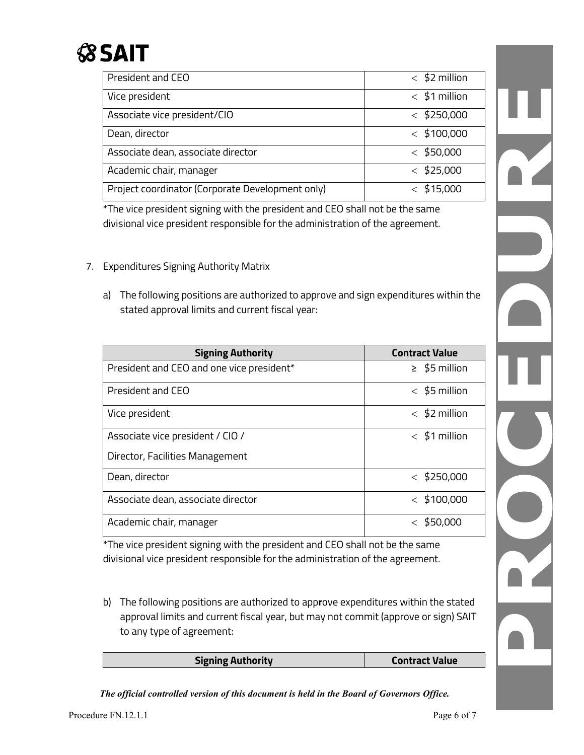

| President and CEO                                | $<$ \$2 million |
|--------------------------------------------------|-----------------|
| Vice president                                   | $<$ \$1 million |
| Associate vice president/CIO                     | $<$ \$250,000   |
| Dean, director                                   | $<$ \$100,000   |
| Associate dean, associate director               | $<$ \$50,000    |
| Academic chair, manager                          | $<$ \$25,000    |
| Project coordinator (Corporate Development only) | \$15,000        |

\*The vice president signing with the president and CEO shall not be the same divisional vice president responsible for the administration of the agreement.

- 7. Expenditures Signing Authority Matrix
	- a) The following positions are authorized to approve and sign expenditures within the stated approval limits and current fiscal year:

| <b>Signing Authority</b>                  | <b>Contract Value</b> |
|-------------------------------------------|-----------------------|
| President and CEO and one vice president* | $\geq$ \$5 million    |
| President and CEO                         | $<$ \$5 million       |
| Vice president                            | $<$ \$2 million       |
| Associate vice president / CIO /          | $<$ \$1 million       |
| Director, Facilities Management           |                       |
| Dean, director                            | $<$ \$250,000         |
| Associate dean, associate director        | $<$ \$100,000         |
| Academic chair, manager                   | \$50,000              |

\*The vice president signing with the president and CEO shall not be the same divisional vice president responsible for the administration of the agreement.

b) The following positions are authorized to app**r**ove expenditures within the stated approval limits and current fiscal year, but may not commit (approve or sign) SAIT to any type of agreement:

| <b>Signing Authority</b> | <b>Contract Value</b> |
|--------------------------|-----------------------|
|                          |                       |

*The official controlled version of this document is held in the Board of Governors Office.*